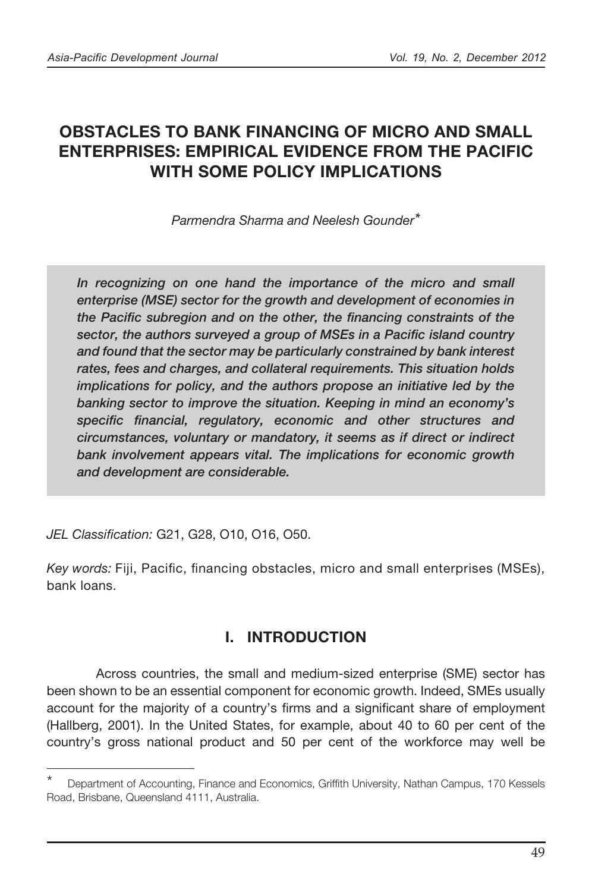# OBSTACLES TO BANK FINANCING OF MICRO AND SMALL ENTERPRISES: EMPIRICAL EVIDENCE FROM THE PACIFIC WITH SOME POLICY IMPLICATIONS

*Parmendra Sharma and Neelesh Gounder\**

*In recognizing on one hand the importance of the micro and small enterprise (MSE) sector for the growth and development of economies in the Pacific subregion and on the other, the financing constraints of the sector, the authors surveyed a group of MSEs in a Pacific island country and found that the sector may be particularly constrained by bank interest rates, fees and charges, and collateral requirements. This situation holds implications for policy, and the authors propose an initiative led by the banking sector to improve the situation. Keeping in mind an economy's specific financial, regulatory, economic and other structures and circumstances, voluntary or mandatory, it seems as if direct or indirect bank involvement appears vital. The implications for economic growth and development are considerable.*

*JEL Classification:* G21, G28, O10, O16, O50.

*Key words:* Fiji, Pacific, financing obstacles, micro and small enterprises (MSEs), bank loans.

## I. INTRODUCTION

 Across countries, the small and medium-sized enterprise (SME) sector has been shown to be an essential component for economic growth. Indeed, SMEs usually account for the majority of a country's firms and a significant share of employment (Hallberg, 2001). In the United States, for example, about 40 to 60 per cent of the country's gross national product and 50 per cent of the workforce may well be

Department of Accounting, Finance and Economics, Griffith University, Nathan Campus, 170 Kessels Road, Brisbane, Queensland 4111, Australia.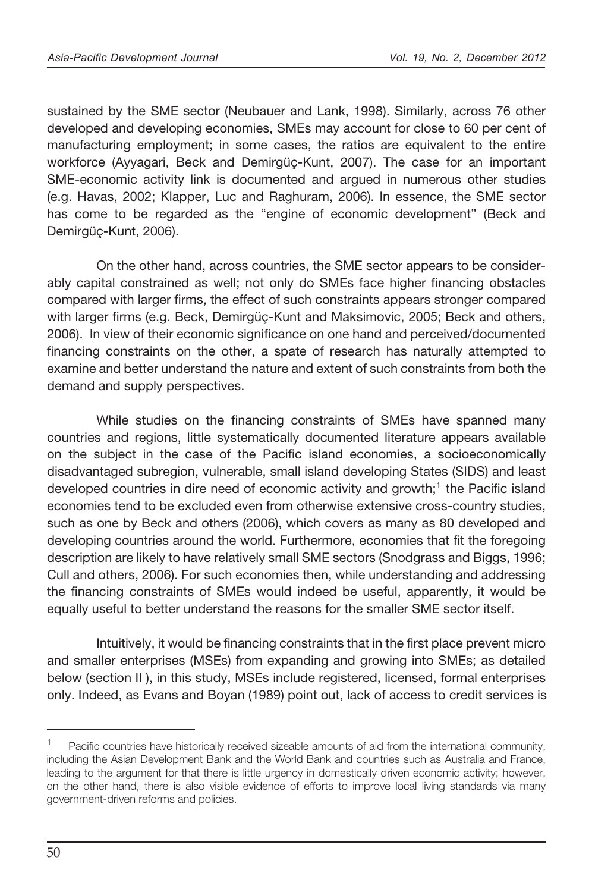sustained by the SME sector (Neubauer and Lank, 1998). Similarly, across 76 other developed and developing economies, SMEs may account for close to 60 per cent of manufacturing employment; in some cases, the ratios are equivalent to the entire workforce (Ayyagari, Beck and Demirgüç-Kunt, 2007). The case for an important SME-economic activity link is documented and argued in numerous other studies (e.g. Havas, 2002; Klapper, Luc and Raghuram, 2006). In essence, the SME sector has come to be regarded as the "engine of economic development" (Beck and Demirgüç-Kunt, 2006).

 On the other hand, across countries, the SME sector appears to be considerably capital constrained as well; not only do SMEs face higher financing obstacles compared with larger firms, the effect of such constraints appears stronger compared with larger firms (e.g. Beck, Demirgüç-Kunt and Maksimovic, 2005; Beck and others, 2006). In view of their economic significance on one hand and perceived/documented financing constraints on the other, a spate of research has naturally attempted to examine and better understand the nature and extent of such constraints from both the demand and supply perspectives.

While studies on the financing constraints of SMEs have spanned many countries and regions, little systematically documented literature appears available on the subject in the case of the Pacific island economies, a socioeconomically disadvantaged subregion, vulnerable, small island developing States (SIDS) and least developed countries in dire need of economic activity and growth;<sup>1</sup> the Pacific island economies tend to be excluded even from otherwise extensive cross-country studies, such as one by Beck and others (2006), which covers as many as 80 developed and developing countries around the world. Furthermore, economies that fit the foregoing description are likely to have relatively small SME sectors (Snodgrass and Biggs, 1996; Cull and others, 2006). For such economies then, while understanding and addressing the financing constraints of SMEs would indeed be useful, apparently, it would be equally useful to better understand the reasons for the smaller SME sector itself.

Intuitively, it would be financing constraints that in the first place prevent micro and smaller enterprises (MSEs) from expanding and growing into SMEs; as detailed below (section II ), in this study, MSEs include registered, licensed, formal enterprises only. Indeed, as Evans and Boyan (1989) point out, lack of access to credit services is

<sup>&</sup>lt;sup>1</sup> Pacific countries have historically received sizeable amounts of aid from the international community, including the Asian Development Bank and the World Bank and countries such as Australia and France, leading to the argument for that there is little urgency in domestically driven economic activity; however, on the other hand, there is also visible evidence of efforts to improve local living standards via many government-driven reforms and policies.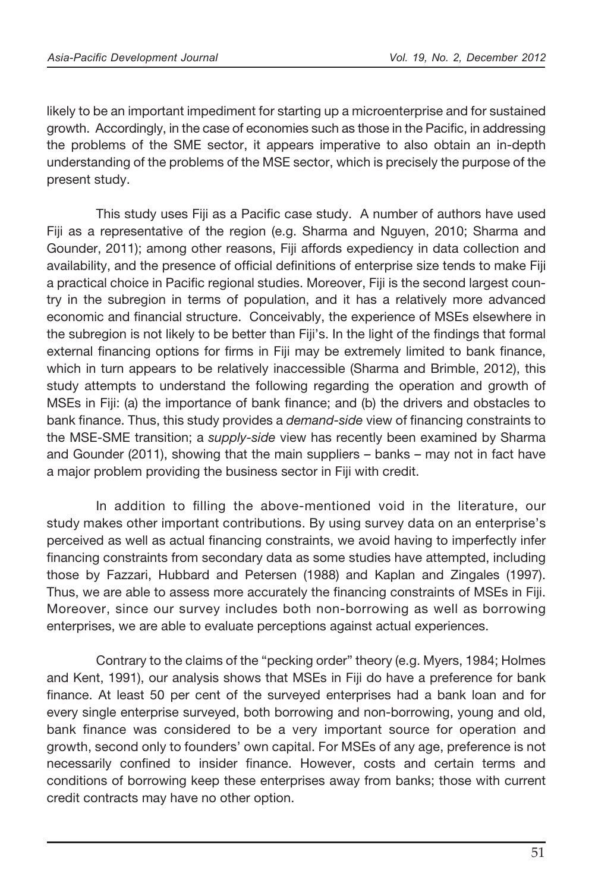likely to be an important impediment for starting up a microenterprise and for sustained growth. Accordingly, in the case of economies such as those in the Pacific, in addressing the problems of the SME sector, it appears imperative to also obtain an in-depth understanding of the problems of the MSE sector, which is precisely the purpose of the present study.

This study uses Fiji as a Pacific case study. A number of authors have used Fiji as a representative of the region (e.g. Sharma and Nguyen, 2010; Sharma and Gounder, 2011); among other reasons, Fiji affords expediency in data collection and availability, and the presence of official definitions of enterprise size tends to make Fiji a practical choice in Pacific regional studies. Moreover, Fiji is the second largest country in the subregion in terms of population, and it has a relatively more advanced economic and financial structure. Conceivably, the experience of MSEs elsewhere in the subregion is not likely to be better than Fiji's. In the light of the findings that formal external financing options for firms in Fiji may be extremely limited to bank finance, which in turn appears to be relatively inaccessible (Sharma and Brimble, 2012), this study attempts to understand the following regarding the operation and growth of MSEs in Fiji: (a) the importance of bank finance; and (b) the drivers and obstacles to bank finance. Thus, this study provides a *demand-side* view of financing constraints to the MSE-SME transition; a *supply-side* view has recently been examined by Sharma and Gounder (2011), showing that the main suppliers – banks – may not in fact have a major problem providing the business sector in Fiji with credit.

In addition to filling the above-mentioned void in the literature, our study makes other important contributions. By using survey data on an enterprise's perceived as well as actual financing constraints, we avoid having to imperfectly infer financing constraints from secondary data as some studies have attempted, including those by Fazzari, Hubbard and Petersen (1988) and Kaplan and Zingales (1997). Thus, we are able to assess more accurately the financing constraints of MSEs in Fiji. Moreover, since our survey includes both non-borrowing as well as borrowing enterprises, we are able to evaluate perceptions against actual experiences.

 Contrary to the claims of the "pecking order" theory (e.g. Myers, 1984; Holmes and Kent, 1991), our analysis shows that MSEs in Fiji do have a preference for bank finance. At least 50 per cent of the surveyed enterprises had a bank loan and for every single enterprise surveyed, both borrowing and non-borrowing, young and old, bank finance was considered to be a very important source for operation and growth, second only to founders' own capital. For MSEs of any age, preference is not necessarily confined to insider finance. However, costs and certain terms and conditions of borrowing keep these enterprises away from banks; those with current credit contracts may have no other option.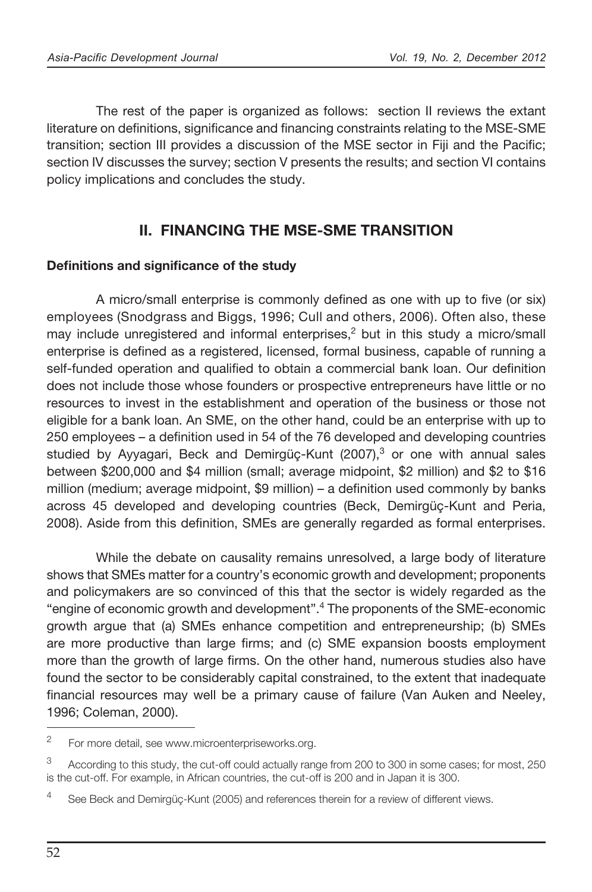The rest of the paper is organized as follows: section II reviews the extant literature on definitions, significance and financing constraints relating to the MSE-SME transition; section III provides a discussion of the MSE sector in Fiji and the Pacific; section IV discusses the survey; section V presents the results; and section VI contains policy implications and concludes the study.

## II. FINANCING THE MSE-SME TRANSITION

### Definitions and significance of the study

A micro/small enterprise is commonly defined as one with up to five (or six) employees (Snodgrass and Biggs, 1996; Cull and others, 2006). Often also, these may include unregistered and informal enterprises, $<sup>2</sup>$  but in this study a micro/small</sup> enterprise is defined as a registered, licensed, formal business, capable of running a self-funded operation and qualified to obtain a commercial bank loan. Our definition does not include those whose founders or prospective entrepreneurs have little or no resources to invest in the establishment and operation of the business or those not eligible for a bank loan. An SME, on the other hand, could be an enterprise with up to 250 employees – a definition used in 54 of the 76 developed and developing countries studied by Ayyagari, Beck and Demirgüç-Kunt (2007),<sup>3</sup> or one with annual sales between \$200,000 and \$4 million (small; average midpoint, \$2 million) and \$2 to \$16 million (medium; average midpoint,  $$9$  million) – a definition used commonly by banks across 45 developed and developing countries (Beck, Demirgüç-Kunt and Peria, 2008). Aside from this definition, SMEs are generally regarded as formal enterprises.

While the debate on causality remains unresolved, a large body of literature shows that SMEs matter for a country's economic growth and development; proponents and policymakers are so convinced of this that the sector is widely regarded as the "engine of economic growth and development".4 The proponents of the SME-economic growth argue that (a) SMEs enhance competition and entrepreneurship; (b) SMEs are more productive than large firms; and (c) SME expansion boosts employment more than the growth of large firms. On the other hand, numerous studies also have found the sector to be considerably capital constrained, to the extent that inadequate financial resources may well be a primary cause of failure (Van Auken and Neeley, 1996; Coleman, 2000).

<sup>&</sup>lt;sup>2</sup> For more detail, see www.microenterpriseworks.org.

<sup>3</sup> According to this study, the cut-off could actually range from 200 to 300 in some cases; for most, 250 is the cut-off. For example, in African countries, the cut-off is 200 and in Japan it is 300.

<sup>&</sup>lt;sup>4</sup> See Beck and Demirgüç-Kunt (2005) and references therein for a review of different views.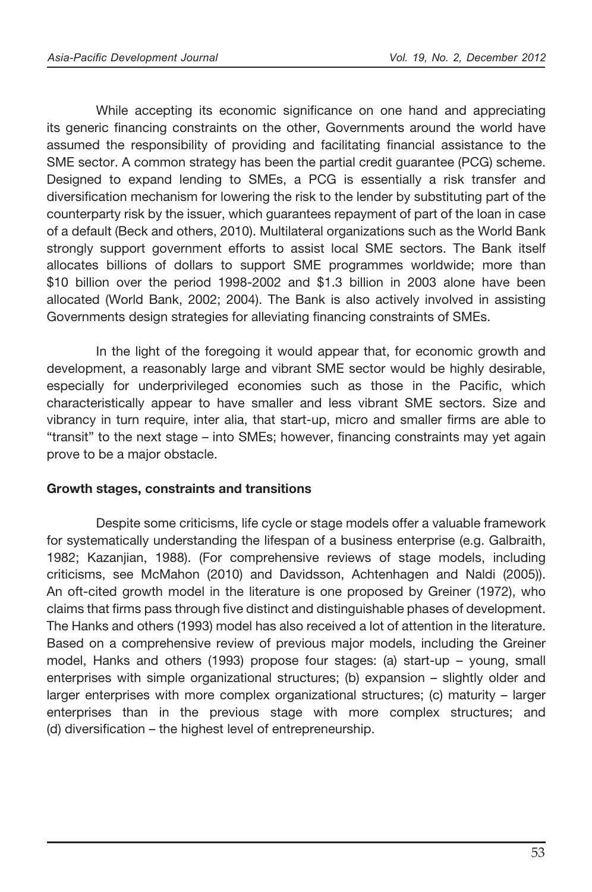While accepting its economic significance on one hand and appreciating its generic financing constraints on the other, Governments around the world have assumed the responsibility of providing and facilitating financial assistance to the SME sector. A common strategy has been the partial credit guarantee (PCG) scheme. Designed to expand lending to SMEs, a PCG is essentially a risk transfer and diversification mechanism for lowering the risk to the lender by substituting part of the counterparty risk by the issuer, which guarantees repayment of part of the loan in case of a default (Beck and others, 2010). Multilateral organizations such as the World Bank strongly support government efforts to assist local SME sectors. The Bank itself allocates billions of dollars to support SME programmes worldwide; more than \$10 billion over the period 1998-2002 and \$1.3 billion in 2003 alone have been allocated (World Bank, 2002; 2004). The Bank is also actively involved in assisting Governments design strategies for alleviating financing constraints of SMEs.

 In the light of the foregoing it would appear that, for economic growth and development, a reasonably large and vibrant SME sector would be highly desirable, especially for underprivileged economies such as those in the Pacific, which characteristically appear to have smaller and less vibrant SME sectors. Size and vibrancy in turn require, inter alia, that start-up, micro and smaller firms are able to "transit" to the next stage – into SMEs; however, financing constraints may yet again prove to be a major obstacle.

### Growth stages, constraints and transitions

 Despite some criticisms, life cycle or stage models offer a valuable framework for systematically understanding the lifespan of a business enterprise (e.g. Galbraith, 1982; Kazanjian, 1988). (For comprehensive reviews of stage models, including criticisms, see McMahon (2010) and Davidsson, Achtenhagen and Naldi (2005)). An oft-cited growth model in the literature is one proposed by Greiner (1972), who claims that firms pass through five distinct and distinguishable phases of development. The Hanks and others (1993) model has also received a lot of attention in the literature. Based on a comprehensive review of previous major models, including the Greiner model, Hanks and others (1993) propose four stages: (a) start-up – young, small enterprises with simple organizational structures; (b) expansion – slightly older and larger enterprises with more complex organizational structures; (c) maturity – larger enterprises than in the previous stage with more complex structures; and (d) diversification – the highest level of entrepreneurship.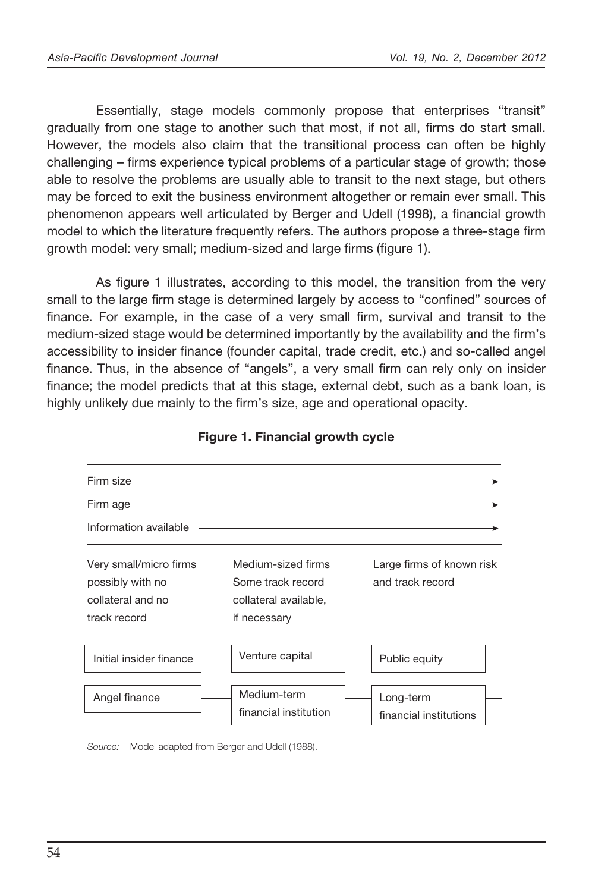Essentially, stage models commonly propose that enterprises "transit" gradually from one stage to another such that most, if not all, firms do start small. However, the models also claim that the transitional process can often be highly  $challenging - firms experience typical problems of a particular stage of growth; those$ able to resolve the problems are usually able to transit to the next stage, but others may be forced to exit the business environment altogether or remain ever small. This phenomenon appears well articulated by Berger and Udell (1998), a financial growth model to which the literature frequently refers. The authors propose a three-stage firm growth model: very small; medium-sized and large firms (figure 1).

As figure 1 illustrates, according to this model, the transition from the very small to the large firm stage is determined largely by access to "confined" sources of finance. For example, in the case of a very small firm, survival and transit to the medium-sized stage would be determined importantly by the availability and the firm's accessibility to insider finance (founder capital, trade credit, etc.) and so-called angel finance. Thus, in the absence of "angels", a very small firm can rely only on insider finance; the model predicts that at this stage, external debt, such as a bank loan, is highly unlikely due mainly to the firm's size, age and operational opacity.



### Figure 1. Financial growth cycle

*Source:* Model adapted from Berger and Udell (1988).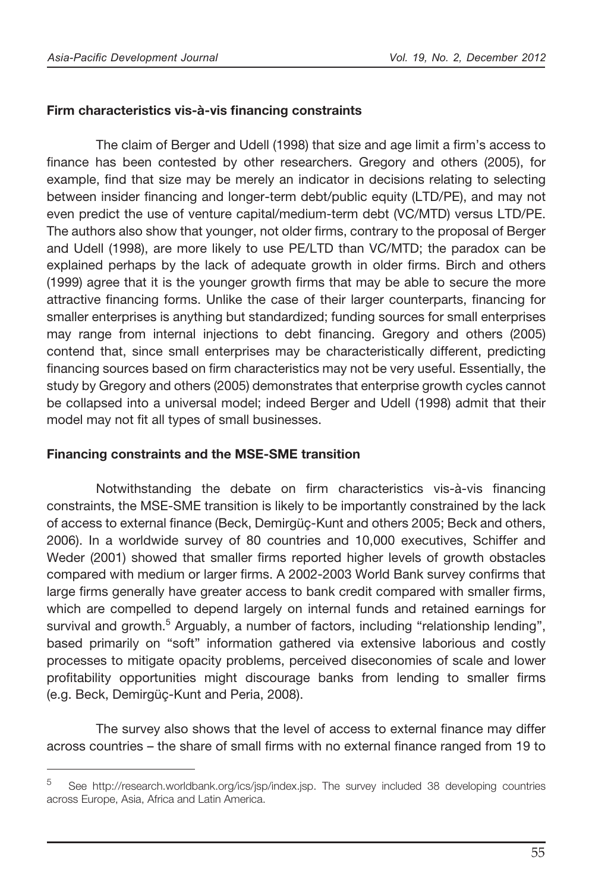### Firm characteristics vis-à-vis financing constraints

The claim of Berger and Udell (1998) that size and age limit a firm's access to finance has been contested by other researchers. Gregory and others (2005), for example, find that size may be merely an indicator in decisions relating to selecting between insider financing and longer-term debt/public equity (LTD/PE), and may not even predict the use of venture capital/medium-term debt (VC/MTD) versus LTD/PE. The authors also show that younger, not older firms, contrary to the proposal of Berger and Udell (1998), are more likely to use PE/LTD than VC/MTD; the paradox can be explained perhaps by the lack of adequate growth in older firms. Birch and others (1999) agree that it is the younger growth firms that may be able to secure the more attractive financing forms. Unlike the case of their larger counterparts, financing for smaller enterprises is anything but standardized; funding sources for small enterprises may range from internal injections to debt financing. Gregory and others (2005) contend that, since small enterprises may be characteristically different, predicting financing sources based on firm characteristics may not be very useful. Essentially, the study by Gregory and others (2005) demonstrates that enterprise growth cycles cannot be collapsed into a universal model; indeed Berger and Udell (1998) admit that their model may not fit all types of small businesses.

### Financing constraints and the MSE-SME transition

Notwithstanding the debate on firm characteristics vis-à-vis financing constraints, the MSE-SME transition is likely to be importantly constrained by the lack of access to external finance (Beck, Demirgüç-Kunt and others 2005; Beck and others, 2006). In a worldwide survey of 80 countries and 10,000 executives, Schiffer and Weder (2001) showed that smaller firms reported higher levels of growth obstacles compared with medium or larger firms. A 2002-2003 World Bank survey confirms that large firms generally have greater access to bank credit compared with smaller firms, which are compelled to depend largely on internal funds and retained earnings for survival and growth.<sup>5</sup> Arguably, a number of factors, including "relationship lending", based primarily on "soft" information gathered via extensive laborious and costly processes to mitigate opacity problems, perceived diseconomies of scale and lower profitability opportunities might discourage banks from lending to smaller firms (e.g. Beck, Demirgüç-Kunt and Peria, 2008).

The survey also shows that the level of access to external finance may differ across countries – the share of small firms with no external finance ranged from 19 to

<sup>5</sup> See http://research.worldbank.org/ics/jsp/index.jsp. The survey included 38 developing countries across Europe, Asia, Africa and Latin America.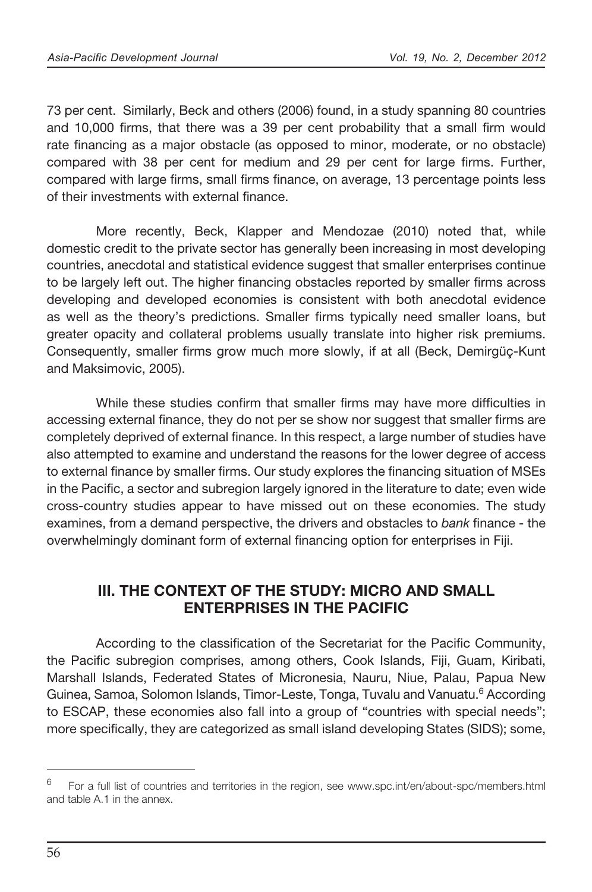73 per cent. Similarly, Beck and others (2006) found, in a study spanning 80 countries and 10,000 firms, that there was a 39 per cent probability that a small firm would rate financing as a major obstacle (as opposed to minor, moderate, or no obstacle) compared with 38 per cent for medium and 29 per cent for large firms. Further, compared with large firms, small firms finance, on average, 13 percentage points less of their investments with external finance

 More recently, Beck, Klapper and Mendozae (2010) noted that, while domestic credit to the private sector has generally been increasing in most developing countries, anecdotal and statistical evidence suggest that smaller enterprises continue to be largely left out. The higher financing obstacles reported by smaller firms across developing and developed economies is consistent with both anecdotal evidence as well as the theory's predictions. Smaller firms typically need smaller loans, but greater opacity and collateral problems usually translate into higher risk premiums. Consequently, smaller firms grow much more slowly, if at all (Beck, Demirgüç-Kunt and Maksimovic, 2005).

While these studies confirm that smaller firms may have more difficulties in accessing external finance, they do not per se show nor suggest that smaller firms are completely deprived of external finance. In this respect, a large number of studies have also attempted to examine and understand the reasons for the lower degree of access to external finance by smaller firms. Our study explores the financing situation of MSEs in the Pacific, a sector and subregion largely ignored in the literature to date; even wide cross-country studies appear to have missed out on these economies. The study examines, from a demand perspective, the drivers and obstacles to *bank* finance - the overwhelmingly dominant form of external financing option for enterprises in Fiji.

## III. THE CONTEXT OF THE STUDY: MICRO AND SMALL ENTERPRISES IN THE PACIFIC

According to the classification of the Secretariat for the Pacific Community, the Pacific subregion comprises, among others, Cook Islands, Fiji, Guam, Kiribati, Marshall Islands, Federated States of Micronesia, Nauru, Niue, Palau, Papua New Guinea, Samoa, Solomon Islands, Timor-Leste, Tonga, Tuvalu and Vanuatu.<sup>6</sup> According to ESCAP, these economies also fall into a group of "countries with special needs"; more specifically, they are categorized as small island developing States (SIDS); some,

 $6$  For a full list of countries and territories in the region, see www.spc.int/en/about-spc/members.html and table A.1 in the annex.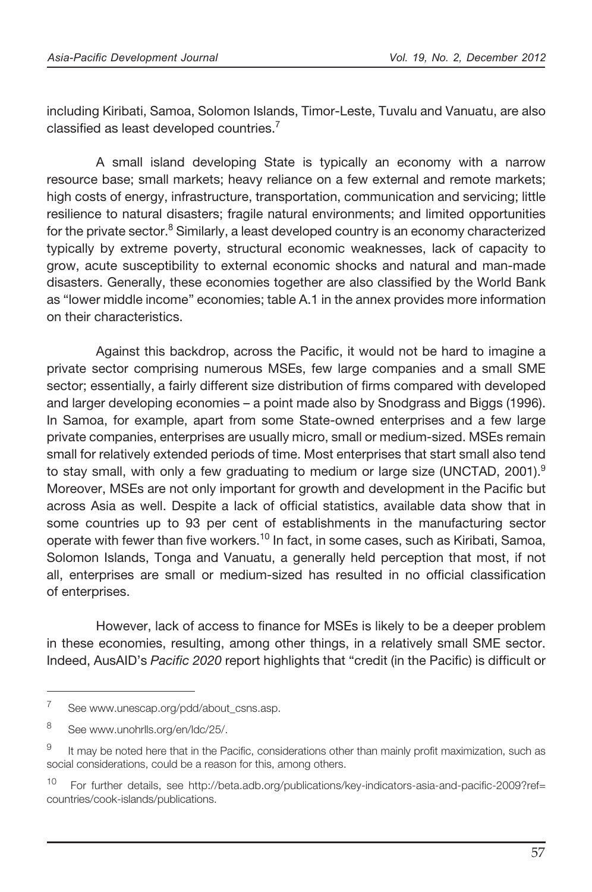including Kiribati, Samoa, Solomon Islands, Timor-Leste, Tuvalu and Vanuatu, are also classified as least developed countries. $<sup>7</sup>$ </sup>

 A small island developing State is typically an economy with a narrow resource base; small markets; heavy reliance on a few external and remote markets; high costs of energy, infrastructure, transportation, communication and servicing; little resilience to natural disasters; fragile natural environments; and limited opportunities for the private sector.<sup>8</sup> Similarly, a least developed country is an economy characterized typically by extreme poverty, structural economic weaknesses, lack of capacity to grow, acute susceptibility to external economic shocks and natural and man-made disasters. Generally, these economies together are also classified by the World Bank as "lower middle income" economies; table A.1 in the annex provides more information on their characteristics.

Against this backdrop, across the Pacific, it would not be hard to imagine a private sector comprising numerous MSEs, few large companies and a small SME sector; essentially, a fairly different size distribution of firms compared with developed and larger developing economies – a point made also by Snodgrass and Biggs (1996). In Samoa, for example, apart from some State-owned enterprises and a few large private companies, enterprises are usually micro, small or medium-sized. MSEs remain small for relatively extended periods of time. Most enterprises that start small also tend to stay small, with only a few graduating to medium or large size (UNCTAD, 2001).<sup>9</sup> Moreover, MSEs are not only important for growth and development in the Pacific but across Asia as well. Despite a lack of official statistics, available data show that in some countries up to 93 per cent of establishments in the manufacturing sector operate with fewer than five workers.<sup>10</sup> In fact, in some cases, such as Kiribati, Samoa, Solomon Islands, Tonga and Vanuatu, a generally held perception that most, if not all, enterprises are small or medium-sized has resulted in no official classification of enterprises.

However, lack of access to finance for MSEs is likely to be a deeper problem in these economies, resulting, among other things, in a relatively small SME sector. Indeed, AusAID's *Pacific 2020* report highlights that "credit (in the Pacific) is difficult or

<sup>&</sup>lt;sup>7</sup> See www.unescap.org/pdd/about\_csns.asp.

<sup>8</sup> See www.unohrlls.org/en/ldc/25/.

<sup>&</sup>lt;sup>9</sup> It may be noted here that in the Pacific, considerations other than mainly profit maximization, such as social considerations, could be a reason for this, among others.

<sup>10</sup> For further details, see http://beta.adb.org/publications/key-indicators-asia-and-pacific-2009?ref= countries/cook-islands/publications.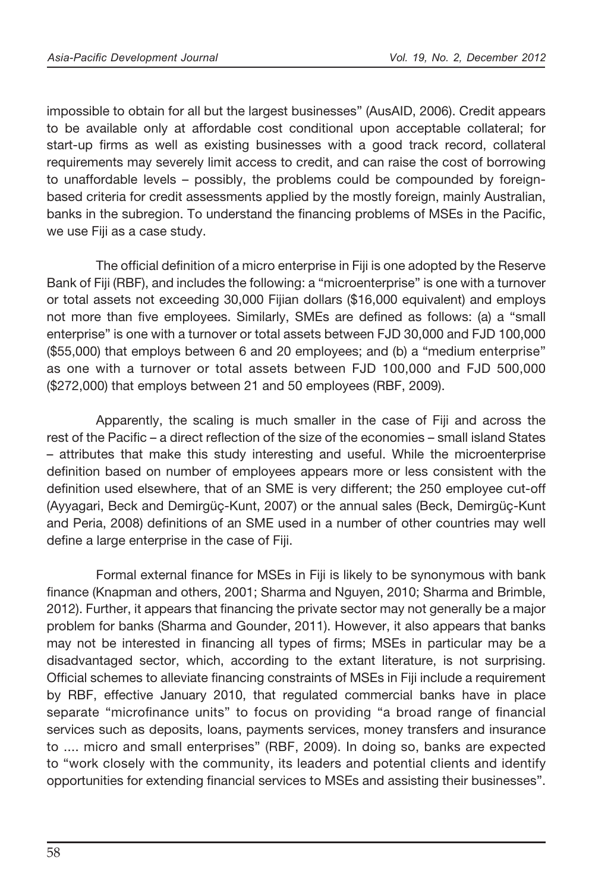impossible to obtain for all but the largest businesses" (AusAID, 2006). Credit appears to be available only at affordable cost conditional upon acceptable collateral; for start-up firms as well as existing businesses with a good track record, collateral requirements may severely limit access to credit, and can raise the cost of borrowing to unaffordable levels – possibly, the problems could be compounded by foreignbased criteria for credit assessments applied by the mostly foreign, mainly Australian, banks in the subregion. To understand the financing problems of MSEs in the Pacific, we use Fiji as a case study.

The official definition of a micro enterprise in Fiji is one adopted by the Reserve Bank of Fiji (RBF), and includes the following: a "microenterprise" is one with a turnover or total assets not exceeding 30,000 Fijian dollars (\$16,000 equivalent) and employs not more than five employees. Similarly, SMEs are defined as follows: (a) a "small enterprise" is one with a turnover or total assets between FJD 30,000 and FJD 100,000 (\$55,000) that employs between 6 and 20 employees; and (b) a "medium enterprise" as one with a turnover or total assets between FJD 100,000 and FJD 500,000 (\$272,000) that employs between 21 and 50 employees (RBF, 2009).

 Apparently, the scaling is much smaller in the case of Fiji and across the rest of the Pacific – a direct reflection of the size of the economies – small island States – attributes that make this study interesting and useful. While the microenterprise definition based on number of employees appears more or less consistent with the definition used elsewhere, that of an SME is very different; the 250 employee cut-off (Ayyagari, Beck and Demirgüç-Kunt, 2007) or the annual sales (Beck, Demirgüç-Kunt and Peria, 2008) definitions of an SME used in a number of other countries may well define a large enterprise in the case of Fiji.

Formal external finance for MSEs in Fiji is likely to be synonymous with bank finance (Knapman and others, 2001; Sharma and Nguyen, 2010; Sharma and Brimble, 2012). Further, it appears that financing the private sector may not generally be a major problem for banks (Sharma and Gounder, 2011). However, it also appears that banks may not be interested in financing all types of firms; MSEs in particular may be a disadvantaged sector, which, according to the extant literature, is not surprising. Official schemes to alleviate financing constraints of MSEs in Fiji include a requirement by RBF, effective January 2010, that regulated commercial banks have in place separate "microfinance units" to focus on providing "a broad range of financial services such as deposits, loans, payments services, money transfers and insurance to .... micro and small enterprises" (RBF, 2009). In doing so, banks are expected to "work closely with the community, its leaders and potential clients and identify opportunities for extending financial services to MSEs and assisting their businesses".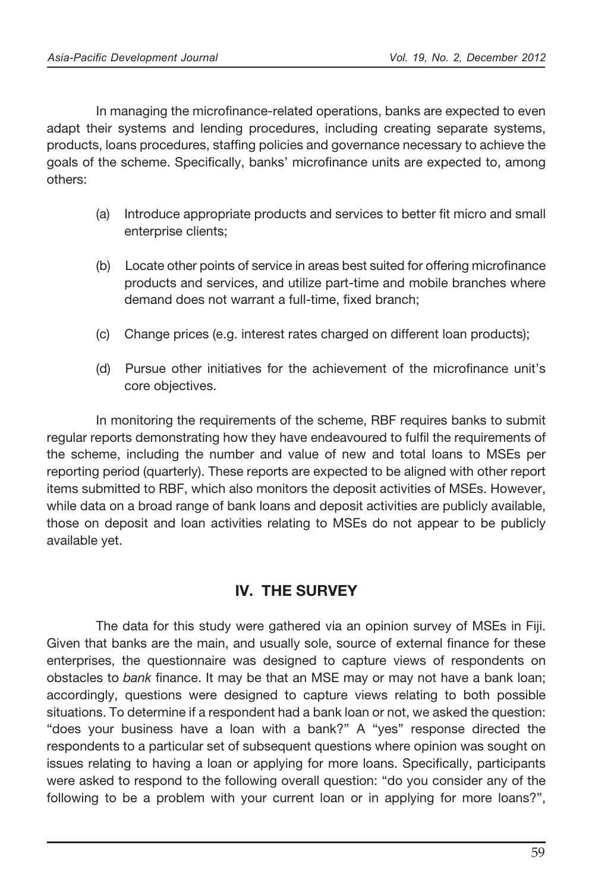In managing the microfinance-related operations, banks are expected to even adapt their systems and lending procedures, including creating separate systems, products, loans procedures, staffing policies and governance necessary to achieve the goals of the scheme. Specifically, banks' microfinance units are expected to, among others:

- (a) Introduce appropriate products and services to better fit micro and small enterprise clients;
- (b) Locate other points of service in areas best suited for offering microfinance products and services, and utilize part-time and mobile branches where demand does not warrant a full-time, fixed branch;
- (c) Change prices (e.g. interest rates charged on different loan products);
- (d) Pursue other initiatives for the achievement of the microfinance unit's core objectives.

 In monitoring the requirements of the scheme, RBF requires banks to submit regular reports demonstrating how they have endeavoured to fulfil the requirements of the scheme, including the number and value of new and total loans to MSEs per reporting period (quarterly). These reports are expected to be aligned with other report items submitted to RBF, which also monitors the deposit activities of MSEs. However, while data on a broad range of bank loans and deposit activities are publicly available, those on deposit and loan activities relating to MSEs do not appear to be publicly available yet.

## IV. THE SURVEY

 The data for this study were gathered via an opinion survey of MSEs in Fiji. Given that banks are the main, and usually sole, source of external finance for these enterprises, the questionnaire was designed to capture views of respondents on obstacles to *bank* finance. It may be that an MSE may or may not have a bank loan; accordingly, questions were designed to capture views relating to both possible situations. To determine if a respondent had a bank loan or not, we asked the question: "does your business have a loan with a bank?" A "yes" response directed the respondents to a particular set of subsequent questions where opinion was sought on issues relating to having a loan or applying for more loans. Specifically, participants were asked to respond to the following overall question: "do you consider any of the following to be a problem with your current loan or in applying for more loans?",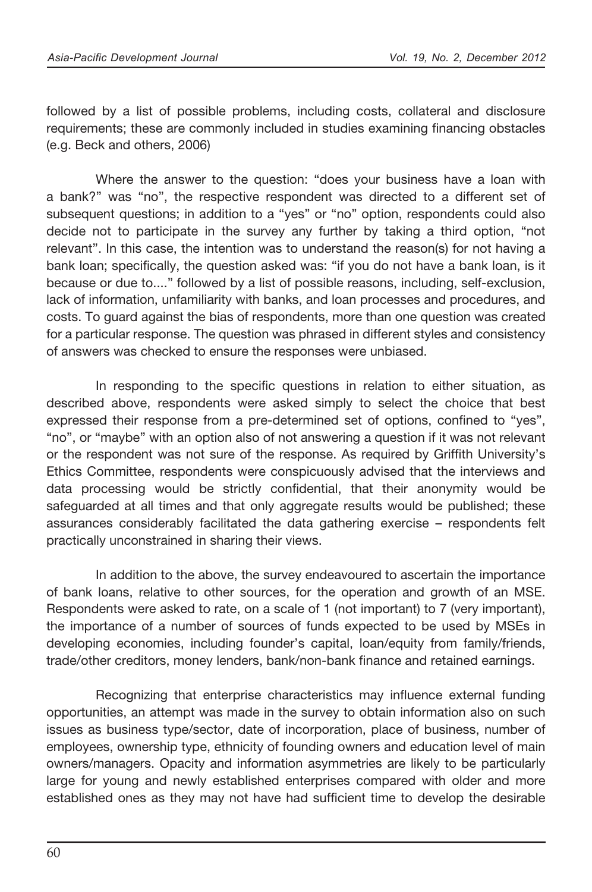followed by a list of possible problems, including costs, collateral and disclosure requirements; these are commonly included in studies examining financing obstacles (e.g. Beck and others, 2006)

 Where the answer to the question: "does your business have a loan with a bank?" was "no", the respective respondent was directed to a different set of subsequent questions; in addition to a "yes" or "no" option, respondents could also decide not to participate in the survey any further by taking a third option, "not relevant". In this case, the intention was to understand the reason(s) for not having a bank loan; specifically, the question asked was: "if you do not have a bank loan, is it because or due to...." followed by a list of possible reasons, including, self-exclusion, lack of information, unfamiliarity with banks, and loan processes and procedures, and costs. To guard against the bias of respondents, more than one question was created for a particular response. The question was phrased in different styles and consistency of answers was checked to ensure the responses were unbiased.

In responding to the specific questions in relation to either situation, as described above, respondents were asked simply to select the choice that best expressed their response from a pre-determined set of options, confined to "yes", "no", or "maybe" with an option also of not answering a question if it was not relevant or the respondent was not sure of the response. As required by Grifth University's Ethics Committee, respondents were conspicuously advised that the interviews and data processing would be strictly confidential, that their anonymity would be safeguarded at all times and that only aggregate results would be published; these assurances considerably facilitated the data gathering exercise – respondents felt practically unconstrained in sharing their views.

 In addition to the above, the survey endeavoured to ascertain the importance of bank loans, relative to other sources, for the operation and growth of an MSE. Respondents were asked to rate, on a scale of 1 (not important) to 7 (very important), the importance of a number of sources of funds expected to be used by MSEs in developing economies, including founder's capital, loan/equity from family/friends, trade/other creditors, money lenders, bank/non-bank finance and retained earnings.

Recognizing that enterprise characteristics may influence external funding opportunities, an attempt was made in the survey to obtain information also on such issues as business type/sector, date of incorporation, place of business, number of employees, ownership type, ethnicity of founding owners and education level of main owners/managers. Opacity and information asymmetries are likely to be particularly large for young and newly established enterprises compared with older and more established ones as they may not have had sufficient time to develop the desirable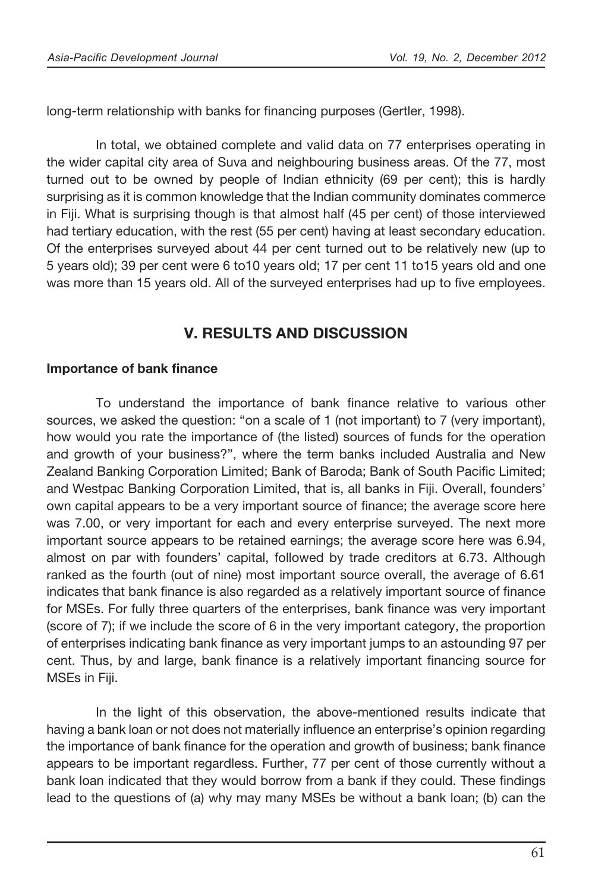long-term relationship with banks for financing purposes (Gertler, 1998).

 In total, we obtained complete and valid data on 77 enterprises operating in the wider capital city area of Suva and neighbouring business areas. Of the 77, most turned out to be owned by people of Indian ethnicity (69 per cent); this is hardly surprising as it is common knowledge that the Indian community dominates commerce in Fiji. What is surprising though is that almost half (45 per cent) of those interviewed had tertiary education, with the rest (55 per cent) having at least secondary education. Of the enterprises surveyed about 44 per cent turned out to be relatively new (up to 5 years old); 39 per cent were 6 to10 years old; 17 per cent 11 to15 years old and one was more than 15 years old. All of the surveyed enterprises had up to five employees.

## V. RESULTS AND DISCUSSION

### Importance of bank finance

To understand the importance of bank finance relative to various other sources, we asked the question: "on a scale of 1 (not important) to 7 (very important), how would you rate the importance of (the listed) sources of funds for the operation and growth of your business?", where the term banks included Australia and New Zealand Banking Corporation Limited; Bank of Baroda; Bank of South Pacific Limited; and Westpac Banking Corporation Limited, that is, all banks in Fiji. Overall, founders' own capital appears to be a very important source of finance; the average score here was 7.00, or very important for each and every enterprise surveyed. The next more important source appears to be retained earnings; the average score here was 6.94, almost on par with founders' capital, followed by trade creditors at 6.73. Although ranked as the fourth (out of nine) most important source overall, the average of 6.61 indicates that bank finance is also regarded as a relatively important source of finance for MSEs. For fully three quarters of the enterprises, bank finance was very important (score of 7); if we include the score of 6 in the very important category, the proportion of enterprises indicating bank finance as very important jumps to an astounding 97 per cent. Thus, by and large, bank finance is a relatively important financing source for MSEs in Fiji.

 In the light of this observation, the above-mentioned results indicate that having a bank loan or not does not materially influence an enterprise's opinion regarding the importance of bank finance for the operation and growth of business; bank finance appears to be important regardless. Further, 77 per cent of those currently without a bank loan indicated that they would borrow from a bank if they could. These findings lead to the questions of (a) why may many MSEs be without a bank loan; (b) can the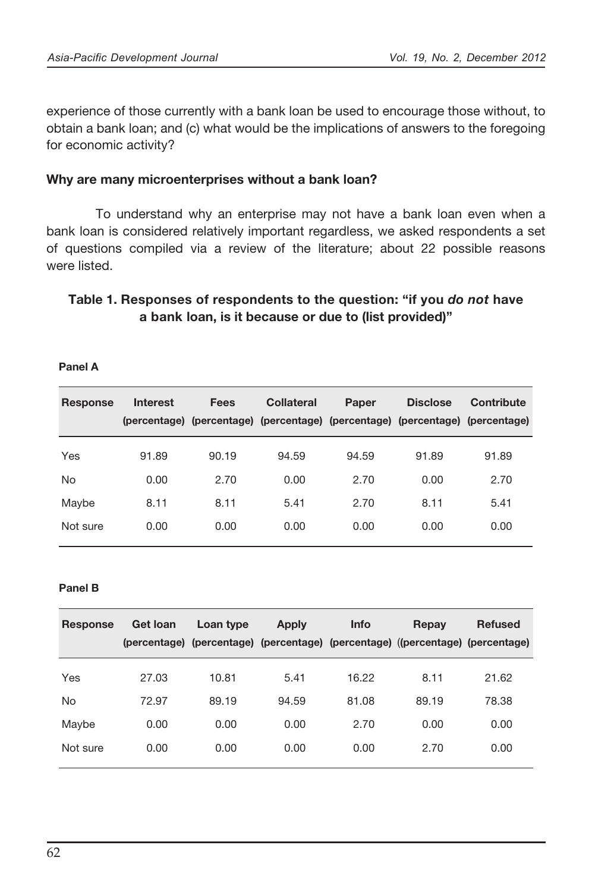experience of those currently with a bank loan be used to encourage those without, to obtain a bank loan; and (c) what would be the implications of answers to the foregoing for economic activity?

### Why are many microenterprises without a bank loan?

 To understand why an enterprise may not have a bank loan even when a bank loan is considered relatively important regardless, we asked respondents a set of questions compiled via a review of the literature; about 22 possible reasons were listed.

### Table 1. Responses of respondents to the question: "if you *do not* have a bank loan, is it because or due to (list provided)"

| Response | <b>Interest</b> | <b>Fees</b> | Collateral | Paper<br>(percentage) (percentage) (percentage) (percentage) (percentage) (percentage) | <b>Disclose</b> | Contribute |
|----------|-----------------|-------------|------------|----------------------------------------------------------------------------------------|-----------------|------------|
| Yes      | 91.89           | 90.19       | 94.59      | 94.59                                                                                  | 91.89           | 91.89      |
| No       | 0.00            | 2.70        | 0.00       | 2.70                                                                                   | 0.00            | 2.70       |
| Maybe    | 8.11            | 8.11        | 5.41       | 2.70                                                                                   | 8.11            | 5.41       |
| Not sure | 0.00            | 0.00        | 0.00       | 0.00                                                                                   | 0.00            | 0.00       |

### Panel B

| Response           | Interest                        | <b>Fees</b> | <b>Collateral</b> | Paper | <b>Disclose</b><br>(percentage) (percentage) (percentage) (percentage) (percentage) (percentage) | <b>Contribute</b> |
|--------------------|---------------------------------|-------------|-------------------|-------|--------------------------------------------------------------------------------------------------|-------------------|
| Yes                | 91.89                           | 90.19       | 94.59             | 94.59 | 91.89                                                                                            | 91.89             |
| No                 | 0.00                            | 2.70        | 0.00              | 2.70  | 0.00                                                                                             | 2.70              |
| Maybe              | 8.11                            | 8.11        | 5.41              | 2.70  | 8.11                                                                                             | 5.41              |
| Not sure           | 0.00                            | 0.00        | 0.00              | 0.00  | 0.00                                                                                             | 0.00              |
|                    |                                 |             |                   |       |                                                                                                  |                   |
| Panel B            |                                 |             |                   |       |                                                                                                  |                   |
| Response           | <b>Get loan</b><br>(percentage) | Loan type   | <b>Apply</b>      | Info  | Repay<br>(percentage) (percentage) (percentage) ((percentage) (percentage)                       | <b>Refused</b>    |
| Yes                | 27.03                           | 10.81       | 5.41              | 16.22 | 8.11                                                                                             | 21.62             |
|                    | 72.97                           | 89.19       | 94.59             | 81.08 | 89.19                                                                                            | 78.38             |
| <b>No</b><br>Maybe | 0.00                            | 0.00        | 0.00              | 2.70  | 0.00                                                                                             | 0.00              |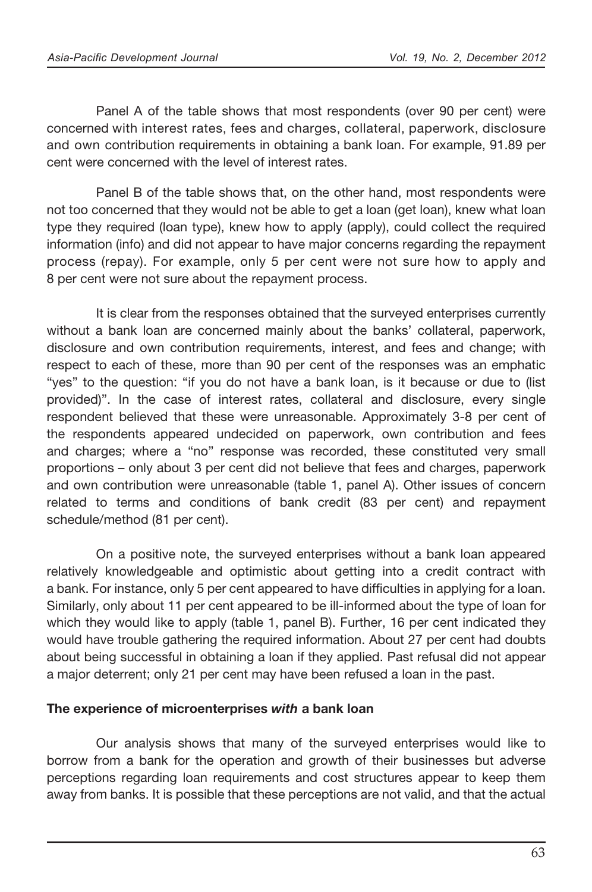Panel A of the table shows that most respondents (over 90 per cent) were concerned with interest rates, fees and charges, collateral, paperwork, disclosure and own contribution requirements in obtaining a bank loan. For example, 91.89 per cent were concerned with the level of interest rates.

 Panel B of the table shows that, on the other hand, most respondents were not too concerned that they would not be able to get a loan (get loan), knew what loan type they required (loan type), knew how to apply (apply), could collect the required information (info) and did not appear to have major concerns regarding the repayment process (repay). For example, only 5 per cent were not sure how to apply and 8 per cent were not sure about the repayment process.

 It is clear from the responses obtained that the surveyed enterprises currently without a bank loan are concerned mainly about the banks' collateral, paperwork, disclosure and own contribution requirements, interest, and fees and change; with respect to each of these, more than 90 per cent of the responses was an emphatic "yes" to the question: "if you do not have a bank loan, is it because or due to (list provided)". In the case of interest rates, collateral and disclosure, every single respondent believed that these were unreasonable. Approximately 3-8 per cent of the respondents appeared undecided on paperwork, own contribution and fees and charges; where a "no" response was recorded, these constituted very small proportions – only about 3 per cent did not believe that fees and charges, paperwork and own contribution were unreasonable (table 1, panel A). Other issues of concern related to terms and conditions of bank credit (83 per cent) and repayment schedule/method (81 per cent).

 On a positive note, the surveyed enterprises without a bank loan appeared relatively knowledgeable and optimistic about getting into a credit contract with a bank. For instance, only 5 per cent appeared to have difficulties in applying for a loan. Similarly, only about 11 per cent appeared to be ill-informed about the type of loan for which they would like to apply (table 1, panel B). Further, 16 per cent indicated they would have trouble gathering the required information. About 27 per cent had doubts about being successful in obtaining a loan if they applied. Past refusal did not appear a major deterrent; only 21 per cent may have been refused a loan in the past.

### The experience of microenterprises *with* a bank loan

 Our analysis shows that many of the surveyed enterprises would like to borrow from a bank for the operation and growth of their businesses but adverse perceptions regarding loan requirements and cost structures appear to keep them away from banks. It is possible that these perceptions are not valid, and that the actual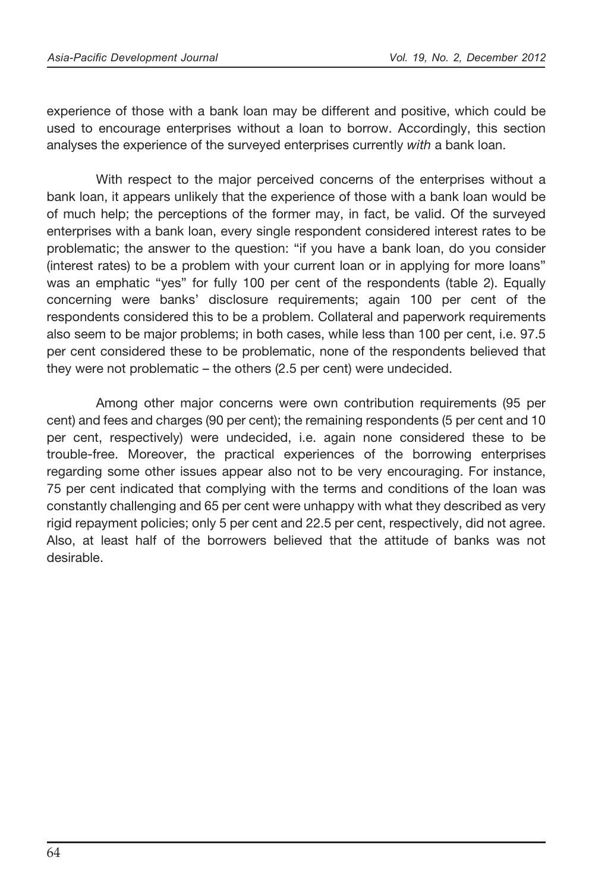experience of those with a bank loan may be different and positive, which could be used to encourage enterprises without a loan to borrow. Accordingly, this section analyses the experience of the surveyed enterprises currently *with* a bank loan.

 With respect to the major perceived concerns of the enterprises without a bank loan, it appears unlikely that the experience of those with a bank loan would be of much help; the perceptions of the former may, in fact, be valid. Of the surveyed enterprises with a bank loan, every single respondent considered interest rates to be problematic; the answer to the question: "if you have a bank loan, do you consider (interest rates) to be a problem with your current loan or in applying for more loans" was an emphatic "yes" for fully 100 per cent of the respondents (table 2). Equally concerning were banks' disclosure requirements; again 100 per cent of the respondents considered this to be a problem. Collateral and paperwork requirements also seem to be major problems; in both cases, while less than 100 per cent, i.e. 97.5 per cent considered these to be problematic, none of the respondents believed that they were not problematic – the others (2.5 per cent) were undecided.

 Among other major concerns were own contribution requirements (95 per cent) and fees and charges (90 per cent); the remaining respondents (5 per cent and 10 per cent, respectively) were undecided, i.e. again none considered these to be trouble-free. Moreover, the practical experiences of the borrowing enterprises regarding some other issues appear also not to be very encouraging. For instance, 75 per cent indicated that complying with the terms and conditions of the loan was constantly challenging and 65 per cent were unhappy with what they described as very rigid repayment policies; only 5 per cent and 22.5 per cent, respectively, did not agree. Also, at least half of the borrowers believed that the attitude of banks was not desirable.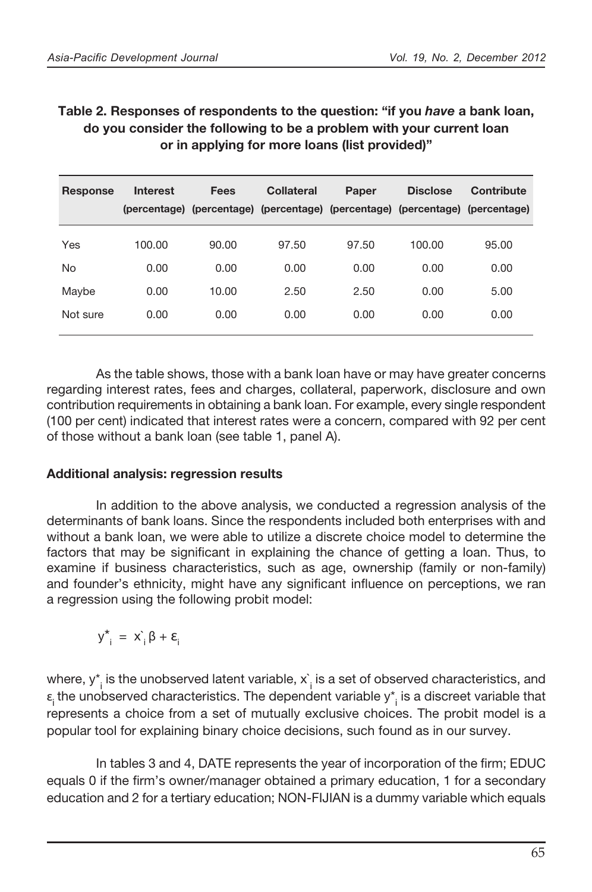## Table 2. Responses of respondents to the question: "if you *have* a bank loan, do you consider the following to be a problem with your current loan or in applying for more loans (list provided)"

| Response | <b>Interest</b> | Fees  | Collateral | Paper<br>(percentage) (percentage) (percentage) (percentage) (percentage) (percentage) | <b>Disclose</b> | Contribute |
|----------|-----------------|-------|------------|----------------------------------------------------------------------------------------|-----------------|------------|
| Yes      | 100.00          | 90.00 | 97.50      | 97.50                                                                                  | 100.00          | 95.00      |
| No       | 0.00            | 0.00  | 0.00       | 0.00                                                                                   | 0.00            | 0.00       |
| Maybe    | 0.00            | 10.00 | 2.50       | 2.50                                                                                   | 0.00            | 5.00       |
| Not sure | 0.00            | 0.00  | 0.00       | 0.00                                                                                   | 0.00            | 0.00       |

 As the table shows, those with a bank loan have or may have greater concerns regarding interest rates, fees and charges, collateral, paperwork, disclosure and own contribution requirements in obtaining a bank loan. For example, every single respondent (100 per cent) indicated that interest rates were a concern, compared with 92 per cent of those without a bank loan (see table 1, panel A).

### Additional analysis: regression results

 In addition to the above analysis, we conducted a regression analysis of the determinants of bank loans. Since the respondents included both enterprises with and without a bank loan, we were able to utilize a discrete choice model to determine the factors that may be significant in explaining the chance of getting a loan. Thus, to examine if business characteristics, such as age, ownership (family or non-family) and founder's ethnicity, might have any significant influence on perceptions, we ran a regression using the following probit model:

 $= x_i^{\prime} \beta + \varepsilon_i$ 

where, y $^{\star}_{\:\,i}$  is the unobserved latent variable,  $\mathrm{x}^{\cdot}_{\:\,i}$  is a set of observed characteristics, and  $\epsilon_{\rm i}$ the unobserved characteristics. The dependent variable y\*<sub>i</sub> is a discreet variable that represents a choice from a set of mutually exclusive choices. The probit model is a popular tool for explaining binary choice decisions, such found as in our survey.  $y_{i}^{*} = x_{i}^{\dagger} \beta + \varepsilon_{i}$ <br>
<sup>1</sup>/<sub>i</sub> is the unobserved latent variable,  $x_{i}^{\dagger}$  is a set of observed characteristics, and<br>
1000 the different variable  $y_{i}^{*}$  is a discreet variable that<br>
1000 for explaining binar

In tables 3 and 4, DATE represents the year of incorporation of the firm; EDUC equals 0 if the firm's owner/manager obtained a primary education, 1 for a secondary education and 2 for a tertiary education; NON-FIJIAN is a dummy variable which equals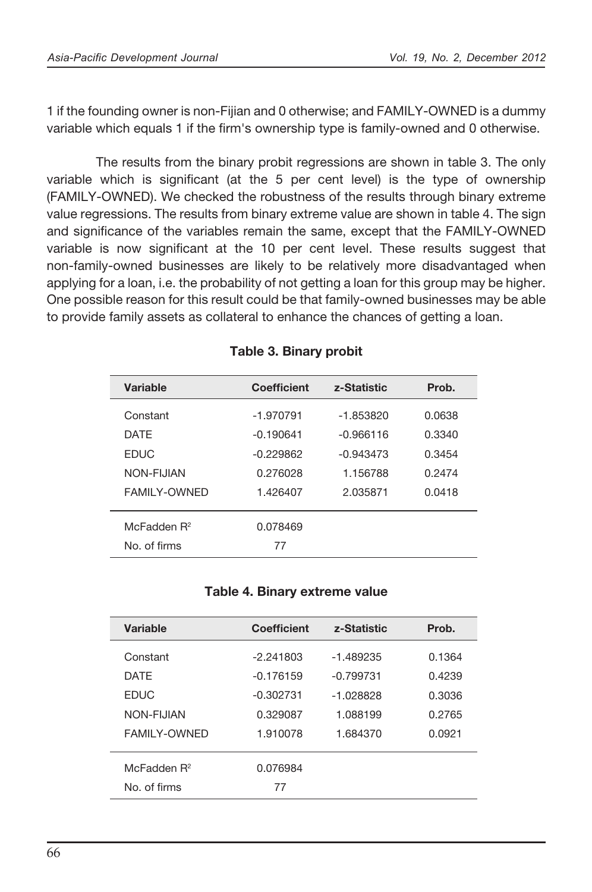1 if the founding owner is non-Fijian and 0 otherwise; and FAMILY-OWNED is a dummy variable which equals 1 if the firm's ownership type is family-owned and 0 otherwise.

 The results from the binary probit regressions are shown in table 3. The only variable which is significant (at the 5 per cent level) is the type of ownership (FAMILY-OWNED). We checked the robustness of the results through binary extreme value regressions. The results from binary extreme value are shown in table 4. The sign and significance of the variables remain the same, except that the FAMILY-OWNED variable is now significant at the 10 per cent level. These results suggest that non-family-owned businesses are likely to be relatively more disadvantaged when applying for a loan, i.e. the probability of not getting a loan for this group may be higher. One possible reason for this result could be that family-owned businesses may be able to provide family assets as collateral to enhance the chances of getting a loan.

| Variable                | Coefficient | z-Statistic | Prob.  |
|-------------------------|-------------|-------------|--------|
| Constant                | $-1.970791$ | $-1.853820$ | 0.0638 |
| <b>DATF</b>             | $-0.190641$ | $-0.966116$ | 0.3340 |
| <b>EDUC</b>             | $-0.229862$ | $-0.943473$ | 0.3454 |
| NON-FIJIAN              | 0.276028    | 1.156788    | 0.2474 |
| <b>FAMILY-OWNED</b>     | 1.426407    | 2.035871    | 0.0418 |
|                         |             |             |        |
| McFadden R <sup>2</sup> | 0.078469    |             |        |
| No. of firms            | 77          |             |        |

### Table 3. Binary probit

### Table 4. Binary extreme value

|                     | <b>Coefficient</b>            | z-Statistic | Prob.  |
|---------------------|-------------------------------|-------------|--------|
| Constant            | $-1.970791$                   | $-1.853820$ | 0.0638 |
| <b>DATE</b>         | $-0.190641$                   | $-0.966116$ | 0.3340 |
| <b>EDUC</b>         | $-0.229862$                   | $-0.943473$ | 0.3454 |
| NON-FIJIAN          | 0.276028                      | 1.156788    | 0.2474 |
| <b>FAMILY-OWNED</b> | 1.426407                      | 2.035871    | 0.0418 |
| McFadden $R^2$      | 0.078469                      |             |        |
| No. of firms        | 77                            |             |        |
|                     |                               |             |        |
|                     | Table 4. Binary extreme value |             |        |
| <b>Variable</b>     | <b>Coefficient</b>            | z-Statistic | Prob.  |
|                     | $-2.241803$                   | $-1.489235$ | 0.1364 |
| Constant            |                               |             |        |
| <b>DATE</b>         | $-0.176159$                   | $-0.799731$ | 0.4239 |
| <b>EDUC</b>         | $-0.302731$                   | $-1.028828$ | 0.3036 |
| NON-FIJIAN          | 0.329087                      | 1.088199    | 0.2765 |
| <b>FAMILY-OWNED</b> | 1.910078                      | 1.684370    | 0.0921 |
| McFadden $R^2$      | 0.076984                      |             |        |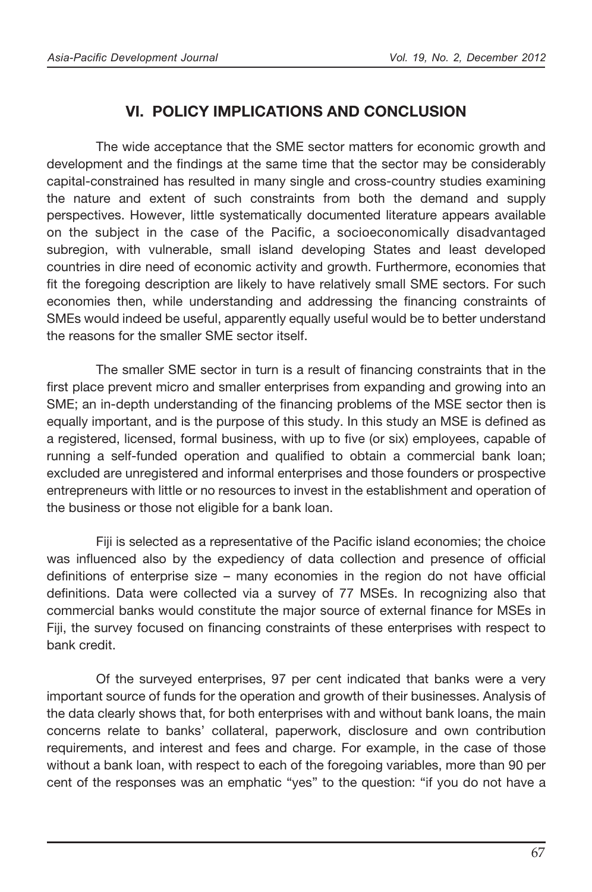# VI. POLICY IMPLICATIONS AND CONCLUSION

 The wide acceptance that the SME sector matters for economic growth and development and the findings at the same time that the sector may be considerably capital-constrained has resulted in many single and cross-country studies examining the nature and extent of such constraints from both the demand and supply perspectives. However, little systematically documented literature appears available on the subject in the case of the Pacific, a socioeconomically disadvantaged subregion, with vulnerable, small island developing States and least developed countries in dire need of economic activity and growth. Furthermore, economies that fit the foregoing description are likely to have relatively small SME sectors. For such economies then, while understanding and addressing the financing constraints of SMEs would indeed be useful, apparently equally useful would be to better understand the reasons for the smaller SME sector itself.

The smaller SME sector in turn is a result of financing constraints that in the first place prevent micro and smaller enterprises from expanding and growing into an SME; an in-depth understanding of the financing problems of the MSE sector then is equally important, and is the purpose of this study. In this study an MSE is defined as a registered, licensed, formal business, with up to five (or six) employees, capable of running a self-funded operation and qualified to obtain a commercial bank loan; excluded are unregistered and informal enterprises and those founders or prospective entrepreneurs with little or no resources to invest in the establishment and operation of the business or those not eligible for a bank loan.

Fiji is selected as a representative of the Pacific island economies; the choice was influenced also by the expediency of data collection and presence of official definitions of enterprise size – many economies in the region do not have official definitions. Data were collected via a survey of 77 MSEs. In recognizing also that commercial banks would constitute the major source of external finance for MSEs in Fiji, the survey focused on financing constraints of these enterprises with respect to bank credit.

 Of the surveyed enterprises, 97 per cent indicated that banks were a very important source of funds for the operation and growth of their businesses. Analysis of the data clearly shows that, for both enterprises with and without bank loans, the main concerns relate to banks' collateral, paperwork, disclosure and own contribution requirements, and interest and fees and charge. For example, in the case of those without a bank loan, with respect to each of the foregoing variables, more than 90 per cent of the responses was an emphatic "yes" to the question: "if you do not have a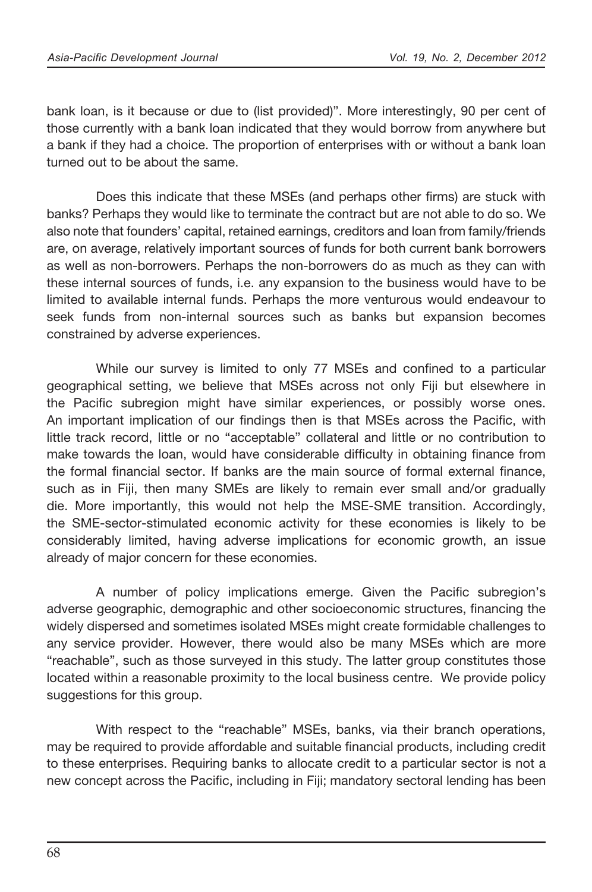bank loan, is it because or due to (list provided)". More interestingly, 90 per cent of those currently with a bank loan indicated that they would borrow from anywhere but a bank if they had a choice. The proportion of enterprises with or without a bank loan turned out to be about the same.

Does this indicate that these MSEs (and perhaps other firms) are stuck with banks? Perhaps they would like to terminate the contract but are not able to do so. We also note that founders' capital, retained earnings, creditors and loan from family/friends are, on average, relatively important sources of funds for both current bank borrowers as well as non-borrowers. Perhaps the non-borrowers do as much as they can with these internal sources of funds, i.e. any expansion to the business would have to be limited to available internal funds. Perhaps the more venturous would endeavour to seek funds from non-internal sources such as banks but expansion becomes constrained by adverse experiences.

While our survey is limited to only 77 MSEs and confined to a particular geographical setting, we believe that MSEs across not only Fiji but elsewhere in the Pacific subregion might have similar experiences, or possibly worse ones. An important implication of our findings then is that MSEs across the Pacific, with little track record, little or no "acceptable" collateral and little or no contribution to make towards the loan, would have considerable difficulty in obtaining finance from the formal financial sector. If banks are the main source of formal external finance, such as in Fiji, then many SMEs are likely to remain ever small and/or gradually die. More importantly, this would not help the MSE-SME transition. Accordingly, the SME-sector-stimulated economic activity for these economies is likely to be considerably limited, having adverse implications for economic growth, an issue already of major concern for these economies.

A number of policy implications emerge. Given the Pacific subregion's adverse geographic, demographic and other socioeconomic structures, financing the widely dispersed and sometimes isolated MSEs might create formidable challenges to any service provider. However, there would also be many MSEs which are more "reachable", such as those surveyed in this study. The latter group constitutes those located within a reasonable proximity to the local business centre. We provide policy suggestions for this group.

 With respect to the "reachable" MSEs, banks, via their branch operations, may be required to provide affordable and suitable financial products, including credit to these enterprises. Requiring banks to allocate credit to a particular sector is not a new concept across the Pacific, including in Fiji; mandatory sectoral lending has been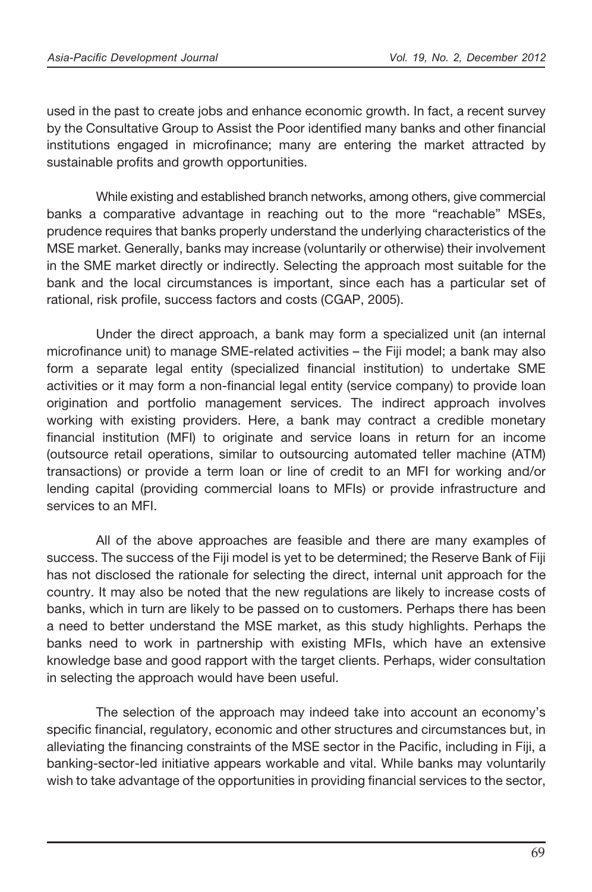used in the past to create jobs and enhance economic growth. In fact, a recent survey by the Consultative Group to Assist the Poor identified many banks and other financial institutions engaged in microfinance; many are entering the market attracted by sustainable profits and growth opportunities.

While existing and established branch networks, among others, give commercial banks a comparative advantage in reaching out to the more "reachable" MSEs, prudence requires that banks properly understand the underlying characteristics of the MSE market. Generally, banks may increase (voluntarily or otherwise) their involvement in the SME market directly or indirectly. Selecting the approach most suitable for the bank and the local circumstances is important, since each has a particular set of rational, risk profile, success factors and costs (CGAP, 2005).

 Under the direct approach, a bank may form a specialized unit (an internal microfinance unit) to manage SME-related activities – the Fiji model; a bank may also form a separate legal entity (specialized financial institution) to undertake SME activities or it may form a non-financial legal entity (service company) to provide loan origination and portfolio management services. The indirect approach involves working with existing providers. Here, a bank may contract a credible monetary financial institution (MFI) to originate and service loans in return for an income (outsource retail operations, similar to outsourcing automated teller machine (ATM) transactions) or provide a term loan or line of credit to an MFI for working and/or lending capital (providing commercial loans to MFIs) or provide infrastructure and services to an MFI.

 All of the above approaches are feasible and there are many examples of success. The success of the Fiji model is yet to be determined; the Reserve Bank of Fiji has not disclosed the rationale for selecting the direct, internal unit approach for the country. It may also be noted that the new regulations are likely to increase costs of banks, which in turn are likely to be passed on to customers. Perhaps there has been a need to better understand the MSE market, as this study highlights. Perhaps the banks need to work in partnership with existing MFIs, which have an extensive knowledge base and good rapport with the target clients. Perhaps, wider consultation in selecting the approach would have been useful.

 The selection of the approach may indeed take into account an economy's specific financial, regulatory, economic and other structures and circumstances but, in alleviating the financing constraints of the MSE sector in the Pacific, including in Fiji, a banking-sector-led initiative appears workable and vital. While banks may voluntarily wish to take advantage of the opportunities in providing financial services to the sector,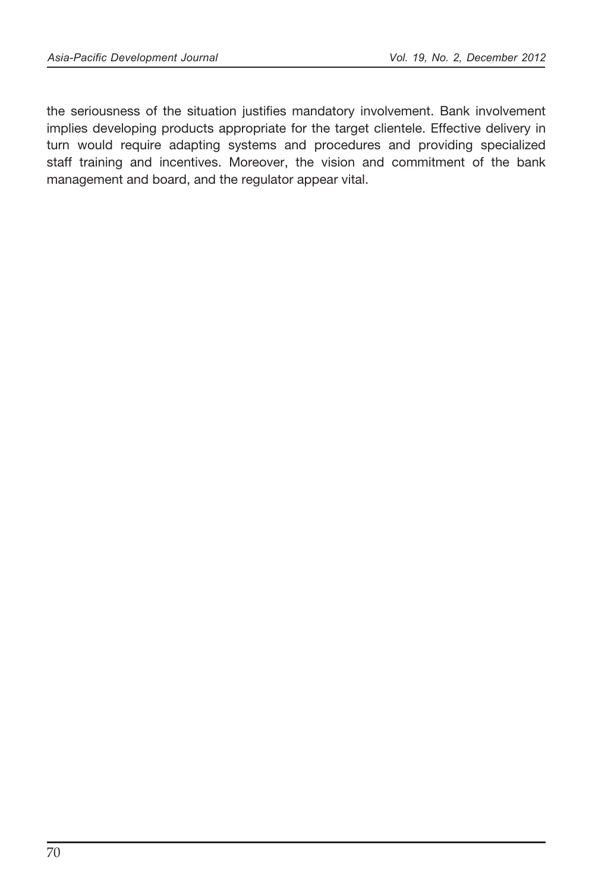the seriousness of the situation justifies mandatory involvement. Bank involvement implies developing products appropriate for the target clientele. Effective delivery in turn would require adapting systems and procedures and providing specialized staff training and incentives. Moreover, the vision and commitment of the bank management and board, and the regulator appear vital.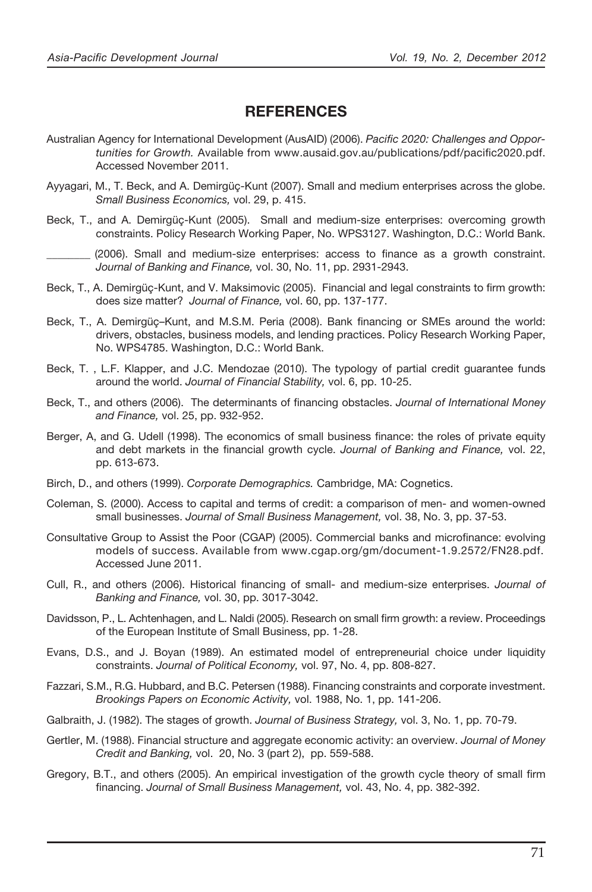- **REFERENCES**<br>
Sopment (AusAlD) (2006). *Pacific 2020: Challenges and Oppor*<br>
from www.ausid.dgov.au/publications/pdf/pacific2020.pdf.<br>
Kunt (2007). Small and medium enterprises: overcoming growth<br>
Kunt (2007). Small and me Australian Agency for International Development (AusAID) (2006). *Pacific 2020: Challenges and Opportunities for Growth.* Available from www.ausaid.gov.au/publications/pdf/pacific2020.pdf. Accessed November 2011.
- Ayyagari, M., T. Beck, and A. Demirgüç-Kunt (2007). Small and medium enterprises across the globe. *Small Business Economics,* vol. 29, p. 415.
- Beck, T., and A. Demirgüç-Kunt (2005). Small and medium-size enterprises: overcoming growth constraints. Policy Research Working Paper, No. WPS3127. Washington, D.C.: World Bank.

(2006). Small and medium-size enterprises: access to finance as a growth constraint.  *Journal of Banking and Finance,* vol. 30, No. 11, pp. 2931-2943.

- Beck, T., A. Demirgüç-Kunt, and V. Maksimovic (2005). Financial and legal constraints to firm growth: does size matter? *Journal of Finance,* vol. 60, pp. 137-177.
- Beck, T., A. Demirgüç–Kunt, and M.S.M. Peria (2008). Bank financing or SMEs around the world: drivers, obstacles, business models, and lending practices. Policy Research Working Paper, No. WPS4785. Washington, D.C.: World Bank.
- Beck, T. , L.F. Klapper, and J.C. Mendozae (2010). The typology of partial credit guarantee funds around the world. *Journal of Financial Stability,* vol. 6, pp. 10-25.
- Beck, T., and others (2006). The determinants of financing obstacles. *Journal of International Money and Finance,* vol. 25, pp. 932-952.
- Berger, A, and G. Udell (1998). The economics of small business finance: the roles of private equity and debt markets in the financial growth cycle. *Journal of Banking and Finance*, vol. 22, pp. 613-673.
- Birch, D., and others (1999). *Corporate Demographics.* Cambridge, MA: Cognetics.
- Coleman, S. (2000). Access to capital and terms of credit: a comparison of men- and women-owned small businesses. *Journal of Small Business Management,* vol. 38, No. 3, pp. 37-53.
- Consultative Group to Assist the Poor (CGAP) (2005). Commercial banks and microfinance: evolving models of success. Available from www.cgap.org/gm/document-1.9.2572/FN28.pdf. Accessed June 2011.
- Cull, R., and others (2006). Historical financing of small- and medium-size enterprises. *Journal of Banking and Finance,* vol. 30, pp. 3017-3042.
- Davidsson, P., L. Achtenhagen, and L. Naldi (2005). Research on small firm growth: a review. Proceedings of the European Institute of Small Business, pp. 1-28.
- Evans, D.S., and J. Boyan (1989). An estimated model of entrepreneurial choice under liquidity constraints. *Journal of Political Economy,* vol. 97, No. 4, pp. 808-827.
- Fazzari, S.M., R.G. Hubbard, and B.C. Petersen (1988). Financing constraints and corporate investment. *Brookings Papers on Economic Activity,* vol. 1988, No. 1, pp. 141-206.
- Galbraith, J. (1982). The stages of growth. *Journal of Business Strategy,* vol. 3, No. 1, pp. 70-79.
- Gertler, M. (1988). Financial structure and aggregate economic activity: an overview. *Journal of Money Credit and Banking,* vol. 20, No. 3 (part 2), pp. 559-588.
- Gregory, B.T., and others (2005). An empirical investigation of the growth cycle theory of small firm nancing. *Journal of Small Business Management,* vol. 43, No. 4, pp. 382-392.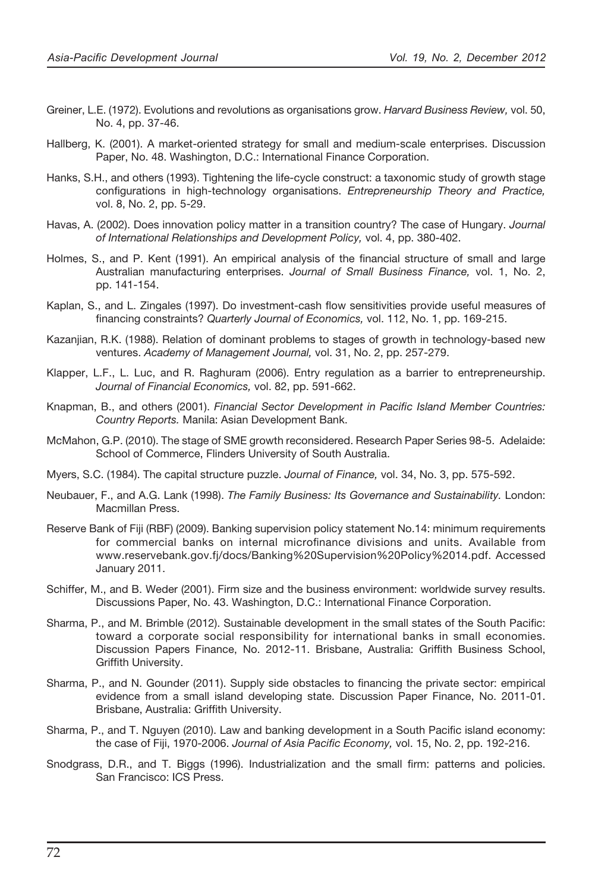- No. 4, pp. 37-46.
- Hallberg, K. (2001). A market-oriented strategy for small and medium-scale enterprises. Discussion Paper, No. 48. Washington, D.C.: International Finance Corporation.
- Hanks, S.H., and others (1993). Tightening the life-cycle construct: a taxonomic study of growth stage configurations in high-technology organisations. *Entrepreneurship Theory and Practice*, vol. 8, No. 2, pp. 5-29.
- Havas, A. (2002). Does innovation policy matter in a transition country? The case of Hungary. *Journal of International Relationships and Development Policy,* vol. 4, pp. 380-402.
- Holmes, S., and P. Kent (1991). An empirical analysis of the financial structure of small and large Australian manufacturing enterprises. *Journal of Small Business Finance,* vol. 1, No. 2, pp. 141-154.
- Kaplan, S., and L. Zingales (1997). Do investment-cash flow sensitivities provide useful measures of financing constraints? *Quarterly Journal of Economics*, vol. 112, No. 1, pp. 169-215.
- Kazanjian, R.K. (1988). Relation of dominant problems to stages of growth in technology-based new ventures. *Academy of Management Journal,* vol. 31, No. 2, pp. 257-279.
- Klapper, L.F., L. Luc, and R. Raghuram (2006). Entry regulation as a barrier to entrepreneurship. *Journal of Financial Economics,* vol. 82, pp. 591-662.
- Knapman, B., and others (2001). *Financial Sector Development in Pacific Island Member Countries: Country Reports.* Manila: Asian Development Bank.
- McMahon, G.P. (2010). The stage of SME growth reconsidered. Research Paper Series 98-5. Adelaide: School of Commerce, Flinders University of South Australia.
- Myers, S.C. (1984). The capital structure puzzle. *Journal of Finance,* vol. 34, No. 3, pp. 575-592.
- Neubauer, F., and A.G. Lank (1998). *The Family Business: Its Governance and Sustainability.* London: Macmillan Press.
- See the U.C. (1972). It is the state of the state of the state of the state of the state of the state of the state of the state of the state of the state of the state of the state of the state of the state of the state of Reserve Bank of Fiji (RBF) (2009). Banking supervision policy statement No.14: minimum requirements for commercial banks on internal microfinance divisions and units. Available from www.reservebank.gov.fj/docs/Banking%20Supervision%20Policy%2014.pdf. Accessed January 2011.
- Schiffer, M., and B. Weder (2001). Firm size and the business environment: worldwide survey results. Discussions Paper, No. 43. Washington, D.C.: International Finance Corporation.
- Sharma, P., and M. Brimble (2012). Sustainable development in the small states of the South Pacic: toward a corporate social responsibility for international banks in small economies. Discussion Papers Finance, No. 2012-11. Brisbane, Australia: Grifth Business School, Griffith University.
- Sharma, P., and N. Gounder (2011). Supply side obstacles to financing the private sector: empirical evidence from a small island developing state. Discussion Paper Finance, No. 2011-01. Brisbane, Australia: Griffith University.
- Sharma, P., and T. Nguyen (2010). Law and banking development in a South Pacific island economy: the case of Fiji, 1970-2006. *Journal of Asia Pacific Economy,* vol. 15, No. 2, pp. 192-216.
- Snodgrass, D.R., and T. Biggs (1996). Industrialization and the small firm: patterns and policies. San Francisco: ICS Press.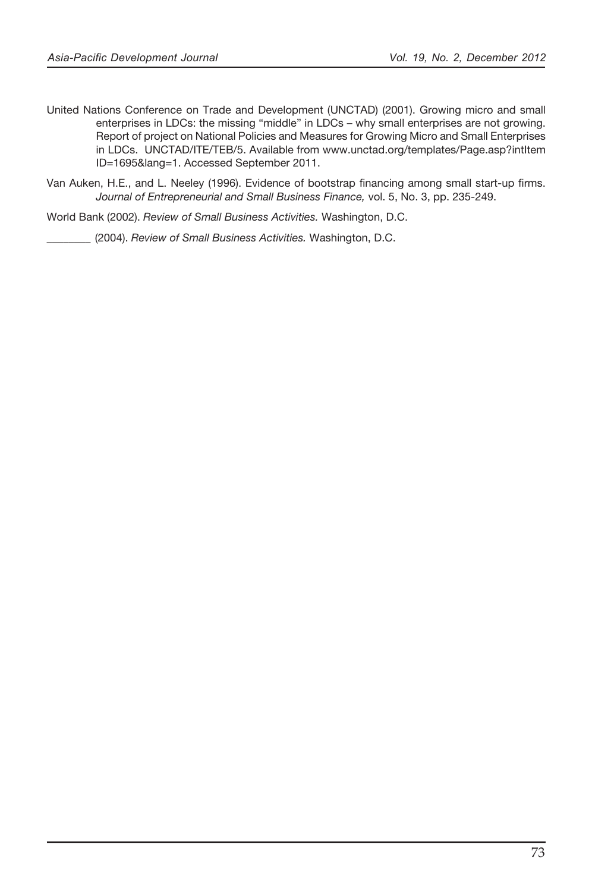- United Nations Conference on Trade and Development (UNCTAD) (2001). Growing micro-<br>second areal and Development (UNCTAD) (2001). Growing micro-<br>and small and Development (UNCTAD). A conference of the conference of the<br>con enterprises in LDCs: the missing "middle" in LDCs – why small enterprises are not growing. Report of project on National Policies and Measures for Growing Micro and Small Enterprises in LDCs. UNCTAD/ITE/TEB/5. Available from www.unctad.org/templates/Page.asp?intItem ID=1695&lang=1. Accessed September 2011.
- Van Auken, H.E., and L. Neeley (1996). Evidence of bootstrap financing among small start-up firms. *Journal of Entrepreneurial and Small Business Finance,* vol. 5, No. 3, pp. 235-249.

World Bank (2002). *Review of Small Business Activities.* Washington, D.C.

\_\_\_\_\_\_\_\_ (2004). *Review of Small Business Activities.* Washington, D.C.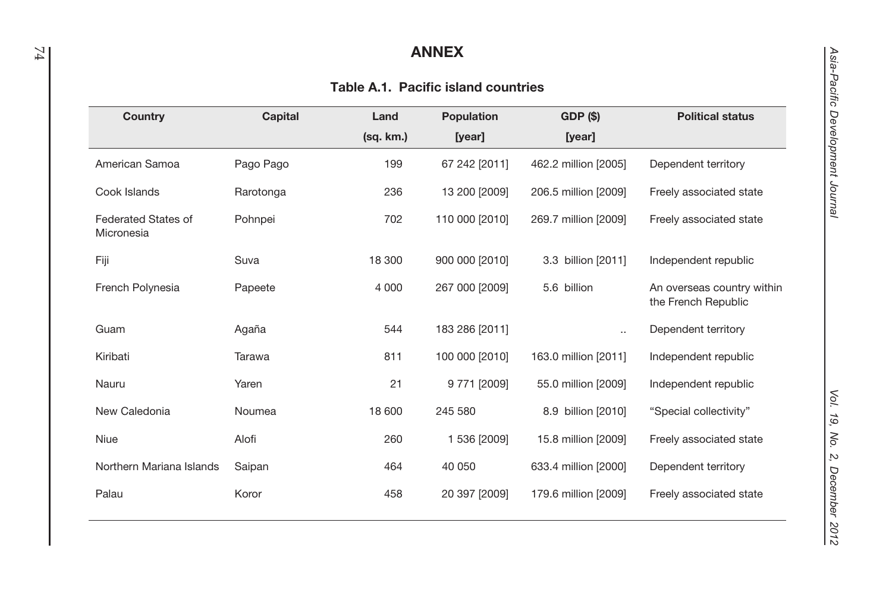### ANNEX

### Table A.1. Pacific island countries

| Country                           | Capital   | Land      | <b>Population</b> | GDP (\$)             | <b>Political status</b>                           |
|-----------------------------------|-----------|-----------|-------------------|----------------------|---------------------------------------------------|
|                                   |           | (sq. km.) | [year]            | [year]               |                                                   |
| American Samoa                    | Pago Pago | 199       | 67 242 [2011]     | 462.2 million [2005] | Dependent territory                               |
| Cook Islands                      | Rarotonga | 236       | 13 200 [2009]     | 206.5 million [2009] | Freely associated state                           |
| Federated States of<br>Micronesia | Pohnpei   | 702       | 110 000 [2010]    | 269.7 million [2009] | Freely associated state                           |
| Fiji                              | Suva      | 18 300    | 900 000 [2010]    | 3.3 billion [2011]   | Independent republic                              |
| French Polynesia                  | Papeete   | 4 0 0 0   | 267 000 [2009]    | 5.6 billion          | An overseas country within<br>the French Republic |
| Guam                              | Agaña     | 544       | 183 286 [2011]    | $\ddotsc$            | Dependent territory                               |
| Kiribati                          | Tarawa    | 811       | 100 000 [2010]    | 163.0 million [2011] | Independent republic                              |
| Nauru                             | Yaren     | 21        | 9 771 [2009]      | 55.0 million [2009]  | Independent republic                              |
| New Caledonia                     | Noumea    | 18 600    | 245 580           | 8.9 billion [2010]   | "Special collectivity"                            |
| Niue                              | Alofi     | 260       | 1 536 [2009]      | 15.8 million [2009]  | Freely associated state                           |
| Northern Mariana Islands          | Saipan    | 464       | 40 050            | 633.4 million [2000] | Dependent territory                               |
| Palau                             | Koror     | 458       | 20 397 [2009]     | 179.6 million [2009] | Freely associated state                           |